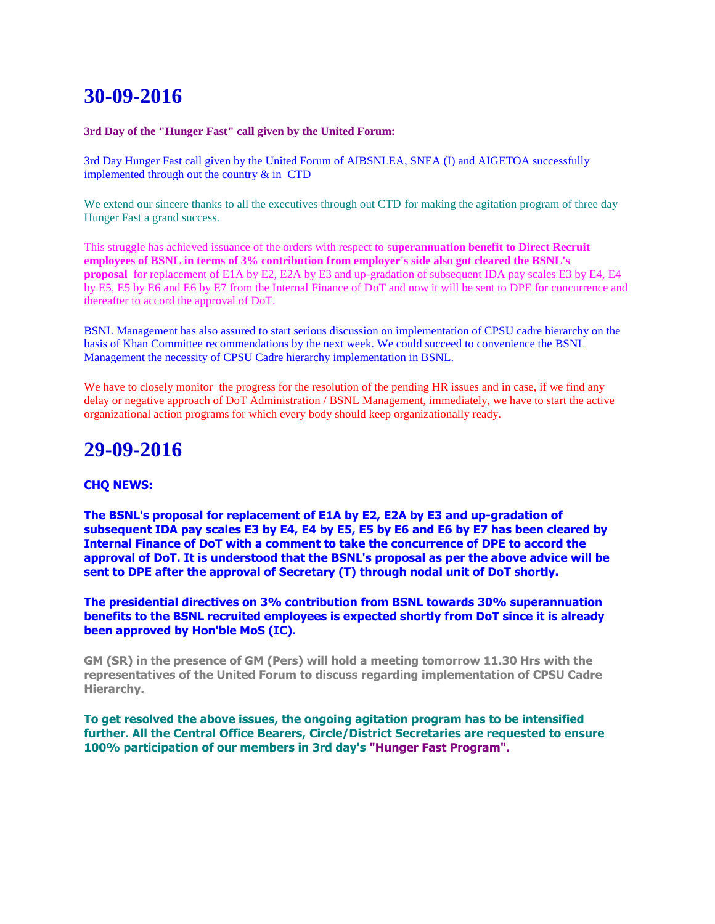# **30-09-2016**

#### **3rd Day of the "Hunger Fast" call given by the United Forum:**

3rd Day Hunger Fast call given by the United Forum of AIBSNLEA, SNEA (I) and AIGETOA successfully implemented through out the country  $&$  in CTD

We extend our sincere thanks to all the executives through out CTD for making the agitation program of three day Hunger Fast a grand success.

This struggle has achieved issuance of the orders with respect to s**uperannuation benefit to Direct Recruit employees of BSNL in terms of 3% contribution from employer's side also got cleared the BSNL's proposal** for replacement of E1A by E2, E2A by E3 and up-gradation of subsequent IDA pay scales E3 by E4, E4 by E5, E5 by E6 and E6 by E7 from the Internal Finance of DoT and now it will be sent to DPE for concurrence and thereafter to accord the approval of DoT.

BSNL Management has also assured to start serious discussion on implementation of CPSU cadre hierarchy on the basis of Khan Committee recommendations by the next week. We could succeed to convenience the BSNL Management the necessity of CPSU Cadre hierarchy implementation in BSNL.

We have to closely monitor the progress for the resolution of the pending HR issues and in case, if we find any delay or negative approach of DoT Administration / BSNL Management, immediately, we have to start the active organizational action programs for which every body should keep organizationally ready.

## **29-09-2016**

#### **CHQ NEWS:**

**The BSNL's proposal for replacement of E1A by E2, E2A by E3 and up-gradation of subsequent IDA pay scales E3 by E4, E4 by E5, E5 by E6 and E6 by E7 has been cleared by Internal Finance of DoT with a comment to take the concurrence of DPE to accord the approval of DoT. It is understood that the BSNL's proposal as per the above advice will be sent to DPE after the approval of Secretary (T) through nodal unit of DoT shortly.**

**The presidential directives on 3% contribution from BSNL towards 30% superannuation benefits to the BSNL recruited employees is expected shortly from DoT since it is already been approved by Hon'ble MoS (IC).**

**GM (SR) in the presence of GM (Pers) will hold a meeting tomorrow 11.30 Hrs with the representatives of the United Forum to discuss regarding implementation of CPSU Cadre Hierarchy.**

**To get resolved the above issues, the ongoing agitation program has to be intensified further. All the Central Office Bearers, Circle/District Secretaries are requested to ensure 100% participation of our members in 3rd day's "Hunger Fast Program".**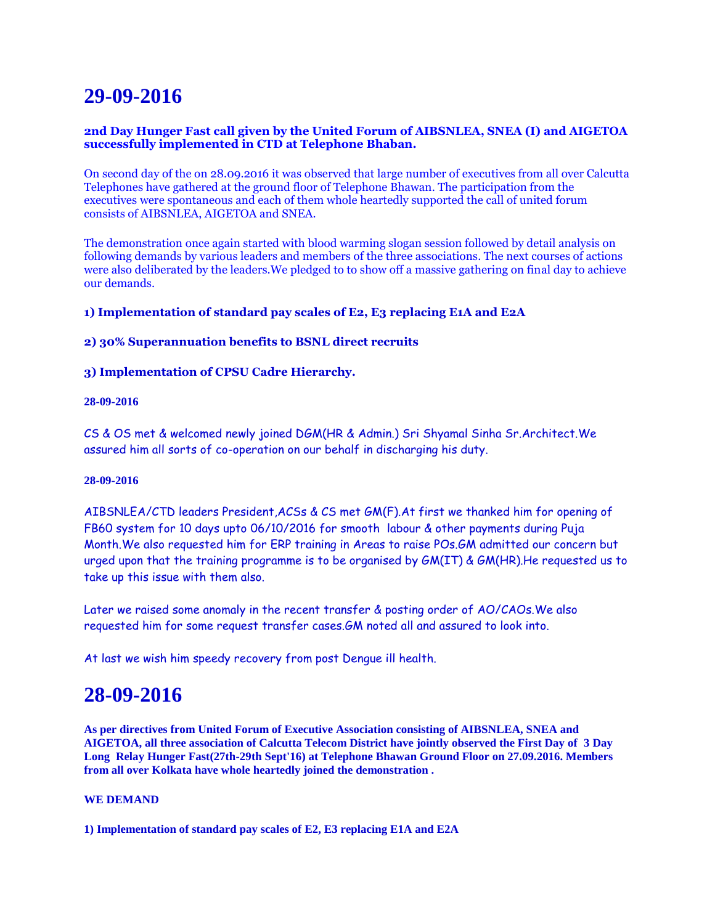# **29-09-2016**

### **2nd Day Hunger Fast call given by the United Forum of AIBSNLEA, SNEA (I) and AIGETOA successfully implemented in CTD at Telephone Bhaban.**

On second day of the on 28.09.2016 it was observed that large number of executives from all over Calcutta Telephones have gathered at the ground floor of Telephone Bhawan. The participation from the executives were spontaneous and each of them whole heartedly supported the call of united forum consists of AIBSNLEA, AIGETOA and SNEA.

The demonstration once again started with blood warming slogan session followed by detail analysis on following demands by various leaders and members of the three associations. The next courses of actions were also deliberated by the leaders.We pledged to to show off a massive gathering on final day to achieve our demands.

### **1) Implementation of standard pay scales of E2, E3 replacing E1A and E2A**

### **2) 30% Superannuation benefits to BSNL direct recruits**

### **3) Implementation of CPSU Cadre Hierarchy.**

#### **28-09-2016**

CS & OS met & welcomed newly joined DGM(HR & Admin.) Sri Shyamal Sinha Sr.Architect.We assured him all sorts of co-operation on our behalf in discharging his duty.

#### **28-09-2016**

AIBSNLEA/CTD leaders President,ACSs & CS met GM(F).At first we thanked him for opening of FB60 system for 10 days upto 06/10/2016 for smooth labour & other payments during Puja Month.We also requested him for ERP training in Areas to raise POs.GM admitted our concern but urged upon that the training programme is to be organised by GM(IT) & GM(HR).He requested us to take up this issue with them also.

Later we raised some anomaly in the recent transfer & posting order of AO/CAOs.We also requested him for some request transfer cases.GM noted all and assured to look into.

At last we wish him speedy recovery from post Dengue ill health.

## **28-09-2016**

**As per directives from United Forum of Executive Association consisting of AIBSNLEA, SNEA and AIGETOA, all three association of Calcutta Telecom District have jointly observed the First Day of 3 Day Long Relay Hunger Fast(27th-29th Sept'16) at Telephone Bhawan Ground Floor on 27.09.2016. Members from all over Kolkata have whole heartedly joined the demonstration .**

#### **WE DEMAND**

**1) Implementation of standard pay scales of E2, E3 replacing E1A and E2A**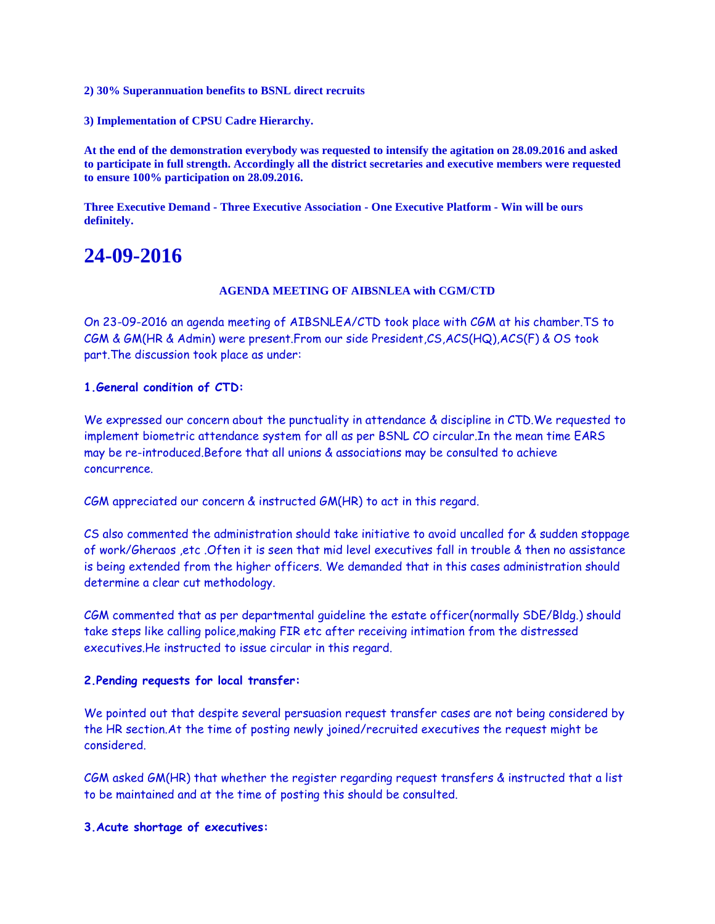**2) 30% Superannuation benefits to BSNL direct recruits**

**3) Implementation of CPSU Cadre Hierarchy.**

**At the end of the demonstration everybody was requested to intensify the agitation on 28.09.2016 and asked to participate in full strength. Accordingly all the district secretaries and executive members were requested to ensure 100% participation on 28.09.2016.**

**Three Executive Demand - Three Executive Association - One Executive Platform - Win will be ours definitely.**

## **24-09-2016**

#### **AGENDA MEETING OF AIBSNLEA with CGM/CTD**

On 23-09-2016 an agenda meeting of AIBSNLEA/CTD took place with CGM at his chamber.TS to CGM & GM(HR & Admin) were present.From our side President,CS,ACS(HQ),ACS(F) & OS took part.The discussion took place as under:

### **1.General condition of CTD:**

We expressed our concern about the punctuality in attendance & discipline in CTD.We requested to implement biometric attendance system for all as per BSNL CO circular.In the mean time EARS may be re-introduced.Before that all unions & associations may be consulted to achieve concurrence.

CGM appreciated our concern & instructed GM(HR) to act in this regard.

CS also commented the administration should take initiative to avoid uncalled for & sudden stoppage of work/Gheraos ,etc .Often it is seen that mid level executives fall in trouble & then no assistance is being extended from the higher officers. We demanded that in this cases administration should determine a clear cut methodology.

CGM commented that as per departmental guideline the estate officer(normally SDE/Bldg.) should take steps like calling police,making FIR etc after receiving intimation from the distressed executives.He instructed to issue circular in this regard.

#### **2.Pending requests for local transfer:**

We pointed out that despite several persuasion request transfer cases are not being considered by the HR section.At the time of posting newly joined/recruited executives the request might be considered.

CGM asked GM(HR) that whether the register regarding request transfers & instructed that a list to be maintained and at the time of posting this should be consulted.

#### **3.Acute shortage of executives:**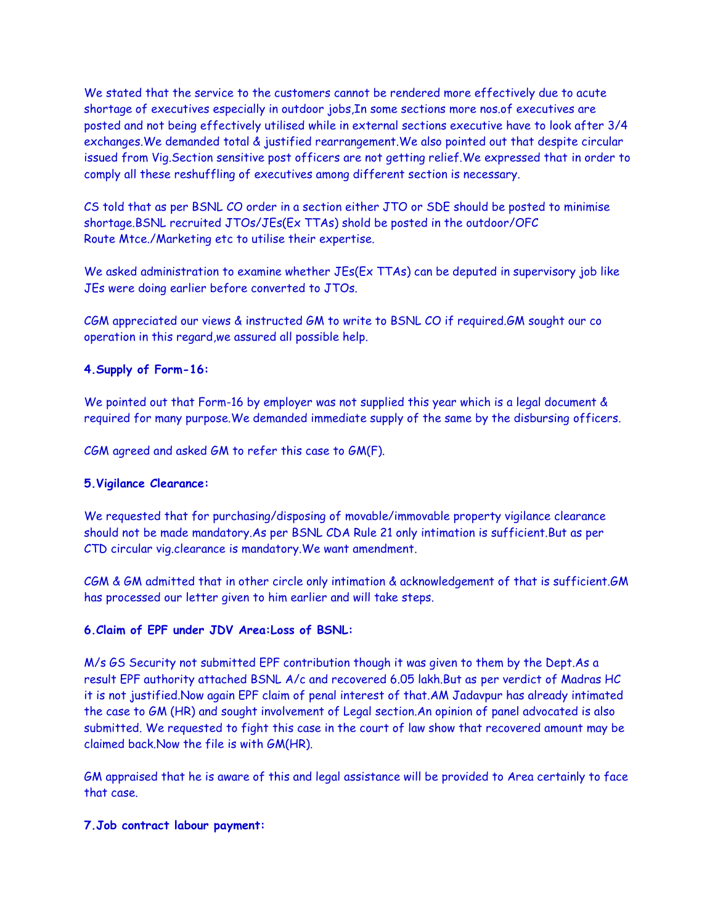We stated that the service to the customers cannot be rendered more effectively due to acute shortage of executives especially in outdoor jobs,In some sections more nos.of executives are posted and not being effectively utilised while in external sections executive have to look after 3/4 exchanges.We demanded total & justified rearrangement.We also pointed out that despite circular issued from Vig.Section sensitive post officers are not getting relief.We expressed that in order to comply all these reshuffling of executives among different section is necessary.

CS told that as per BSNL CO order in a section either JTO or SDE should be posted to minimise shortage.BSNL recruited JTOs/JEs(Ex TTAs) shold be posted in the outdoor/OFC Route Mtce./Marketing etc to utilise their expertise.

We asked administration to examine whether JEs(Ex TTAs) can be deputed in supervisory job like JEs were doing earlier before converted to JTOs.

CGM appreciated our views & instructed GM to write to BSNL CO if required.GM sought our co operation in this regard,we assured all possible help.

## **4.Supply of Form-16:**

We pointed out that Form-16 by employer was not supplied this year which is a legal document & required for many purpose.We demanded immediate supply of the same by the disbursing officers.

CGM agreed and asked GM to refer this case to GM(F).

## **5.Vigilance Clearance:**

We requested that for purchasing/disposing of movable/immovable property vigilance clearance should not be made mandatory.As per BSNL CDA Rule 21 only intimation is sufficient.But as per CTD circular vig.clearance is mandatory.We want amendment.

CGM & GM admitted that in other circle only intimation & acknowledgement of that is sufficient.GM has processed our letter given to him earlier and will take steps.

## **6.Claim of EPF under JDV Area:Loss of BSNL:**

M/s GS Security not submitted EPF contribution though it was given to them by the Dept.As a result EPF authority attached BSNL A/c and recovered 6.05 lakh.But as per verdict of Madras HC it is not justified.Now again EPF claim of penal interest of that.AM Jadavpur has already intimated the case to GM (HR) and sought involvement of Legal section.An opinion of panel advocated is also submitted. We requested to fight this case in the court of law show that recovered amount may be claimed back.Now the file is with GM(HR).

GM appraised that he is aware of this and legal assistance will be provided to Area certainly to face that case.

## **7.Job contract labour payment:**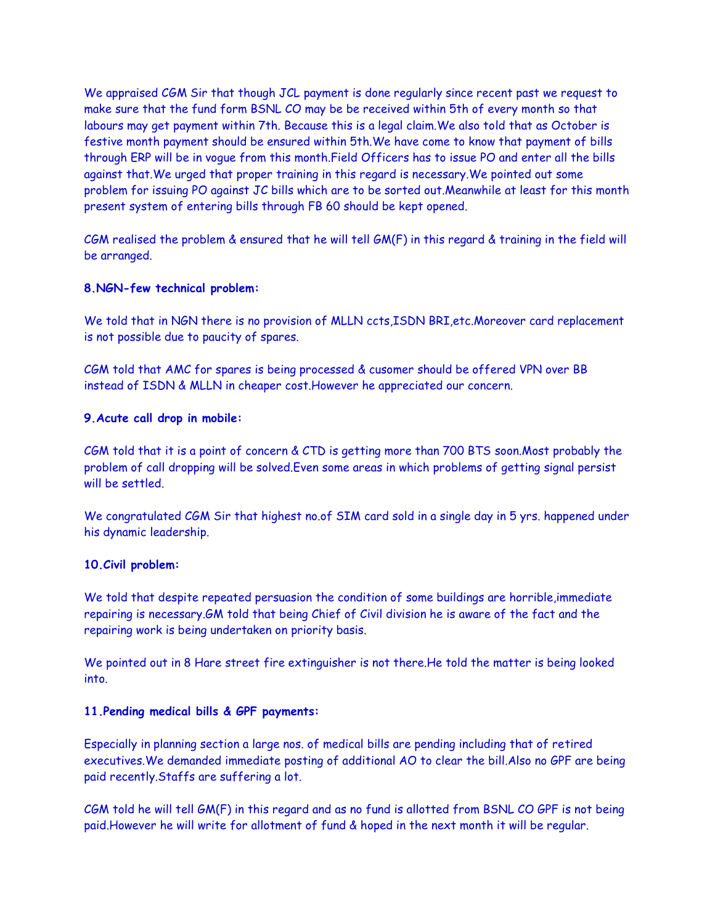We appraised CGM Sir that though JCL payment is done regularly since recent past we request to make sure that the fund form BSNL CO may be be received within 5th of every month so that labours may get payment within 7th. Because this is a legal claim.We also told that as October is festive month payment should be ensured within 5th.We have come to know that payment of bills through ERP will be in vogue from this month.Field Officers has to issue PO and enter all the bills against that.We urged that proper training in this regard is necessary.We pointed out some problem for issuing PO against JC bills which are to be sorted out.Meanwhile at least for this month present system of entering bills through FB 60 should be kept opened.

CGM realised the problem & ensured that he will tell GM(F) in this regard & training in the field will be arranged.

## **8.NGN-few technical problem:**

We told that in NGN there is no provision of MLLN ccts, ISDN BRI, etc. Moreover card replacement is not possible due to paucity of spares.

CGM told that AMC for spares is being processed & cusomer should be offered VPN over BB instead of ISDN & MLLN in cheaper cost.However he appreciated our concern.

## **9.Acute call drop in mobile:**

CGM told that it is a point of concern & CTD is getting more than 700 BTS soon.Most probably the problem of call dropping will be solved.Even some areas in which problems of getting signal persist will be settled.

We congratulated CGM Sir that highest no.of SIM card sold in a single day in 5 yrs. happened under his dynamic leadership.

## **10.Civil problem:**

We told that despite repeated persuasion the condition of some buildings are horrible,immediate repairing is necessary.GM told that being Chief of Civil division he is aware of the fact and the repairing work is being undertaken on priority basis.

We pointed out in 8 Hare street fire extinguisher is not there.He told the matter is being looked into.

## **11.Pending medical bills & GPF payments:**

Especially in planning section a large nos. of medical bills are pending including that of retired executives.We demanded immediate posting of additional AO to clear the bill.Also no GPF are being paid recently.Staffs are suffering a lot.

CGM told he will tell GM(F) in this regard and as no fund is allotted from BSNL CO GPF is not being paid.However he will write for allotment of fund & hoped in the next month it will be regular.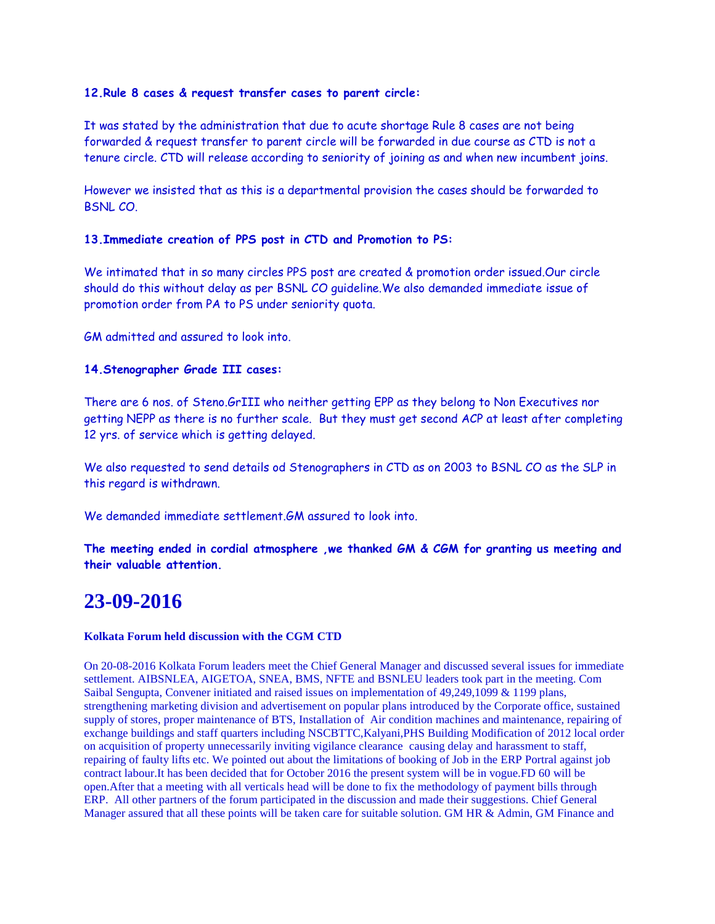### **12.Rule 8 cases & request transfer cases to parent circle:**

It was stated by the administration that due to acute shortage Rule 8 cases are not being forwarded & request transfer to parent circle will be forwarded in due course as CTD is not a tenure circle. CTD will release according to seniority of joining as and when new incumbent joins.

However we insisted that as this is a departmental provision the cases should be forwarded to BSNL CO.

### **13.Immediate creation of PPS post in CTD and Promotion to PS:**

We intimated that in so many circles PPS post are created & promotion order issued.Our circle should do this without delay as per BSNL CO guideline.We also demanded immediate issue of promotion order from PA to PS under seniority quota.

GM admitted and assured to look into.

### **14.Stenographer Grade III cases:**

There are 6 nos. of Steno.GrIII who neither getting EPP as they belong to Non Executives nor getting NEPP as there is no further scale. But they must get second ACP at least after completing 12 yrs. of service which is getting delayed.

We also requested to send details od Stenographers in CTD as on 2003 to BSNL CO as the SLP in this regard is withdrawn.

We demanded immediate settlement.GM assured to look into.

**The meeting ended in cordial atmosphere ,we thanked GM & CGM for granting us meeting and their valuable attention.**

## **23-09-2016**

#### **Kolkata Forum held discussion with the CGM CTD**

On 20-08-2016 Kolkata Forum leaders meet the Chief General Manager and discussed several issues for immediate settlement. AIBSNLEA, AIGETOA, SNEA, BMS, NFTE and BSNLEU leaders took part in the meeting. Com Saibal Sengupta, Convener initiated and raised issues on implementation of 49,249,1099 & 1199 plans, strengthening marketing division and advertisement on popular plans introduced by the Corporate office, sustained supply of stores, proper maintenance of BTS, Installation of Air condition machines and maintenance, repairing of exchange buildings and staff quarters including NSCBTTC,Kalyani,PHS Building Modification of 2012 local order on acquisition of property unnecessarily inviting vigilance clearance causing delay and harassment to staff, repairing of faulty lifts etc. We pointed out about the limitations of booking of Job in the ERP Portral against job contract labour.It has been decided that for October 2016 the present system will be in vogue.FD 60 will be open.After that a meeting with all verticals head will be done to fix the methodology of payment bills through ERP. All other partners of the forum participated in the discussion and made their suggestions. Chief General Manager assured that all these points will be taken care for suitable solution. GM HR & Admin, GM Finance and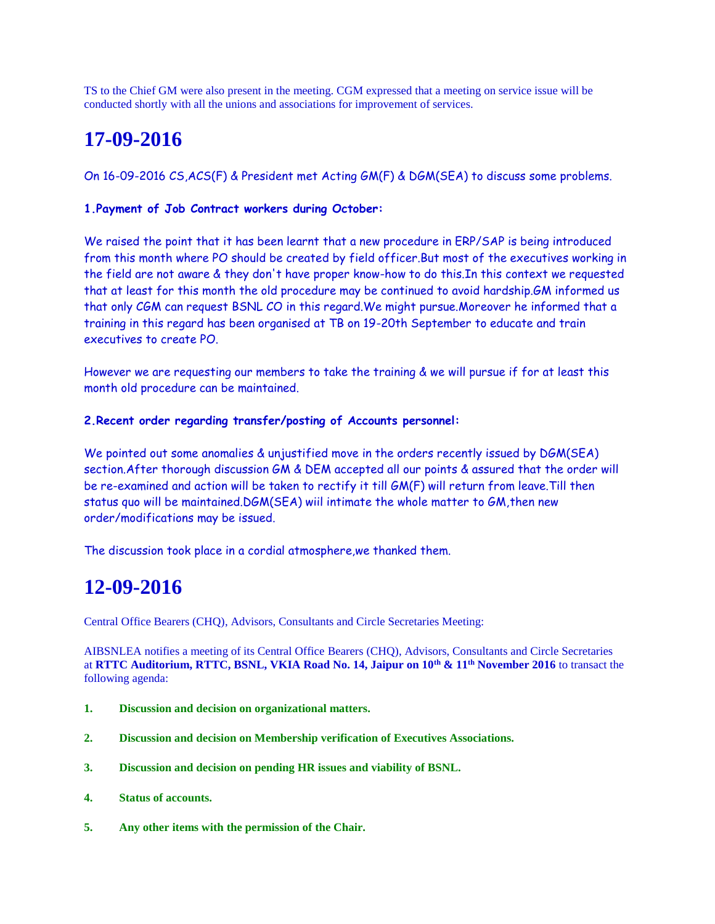TS to the Chief GM were also present in the meeting. CGM expressed that a meeting on service issue will be conducted shortly with all the unions and associations for improvement of services.

# **17-09-2016**

On 16-09-2016 CS,ACS(F) & President met Acting GM(F) & DGM(SEA) to discuss some problems.

## **1.Payment of Job Contract workers during October:**

We raised the point that it has been learnt that a new procedure in ERP/SAP is being introduced from this month where PO should be created by field officer.But most of the executives working in the field are not aware & they don't have proper know-how to do this.In this context we requested that at least for this month the old procedure may be continued to avoid hardship.GM informed us that only CGM can request BSNL CO in this regard.We might pursue.Moreover he informed that a training in this regard has been organised at TB on 19-20th September to educate and train executives to create PO.

However we are requesting our members to take the training & we will pursue if for at least this month old procedure can be maintained.

## **2.Recent order regarding transfer/posting of Accounts personnel:**

We pointed out some anomalies & unjustified move in the orders recently issued by DGM(SEA) section.After thorough discussion GM & DEM accepted all our points & assured that the order will be re-examined and action will be taken to rectify it till GM(F) will return from leave.Till then status quo will be maintained.DGM(SEA) wiil intimate the whole matter to GM, then new order/modifications may be issued.

The discussion took place in a cordial atmosphere,we thanked them.

# **12-09-2016**

Central Office Bearers (CHQ), Advisors, Consultants and Circle Secretaries Meeting:

AIBSNLEA notifies a meeting of its Central Office Bearers (CHQ), Advisors, Consultants and Circle Secretaries at **RTTC Auditorium, RTTC, BSNL, VKIA Road No. 14, Jaipur on 10th & 11th November 2016** to transact the following agenda:

- **1. Discussion and decision on organizational matters.**
- **2. Discussion and decision on Membership verification of Executives Associations.**
- **3. Discussion and decision on pending HR issues and viability of BSNL.**
- **4. Status of accounts.**
- **5. Any other items with the permission of the Chair.**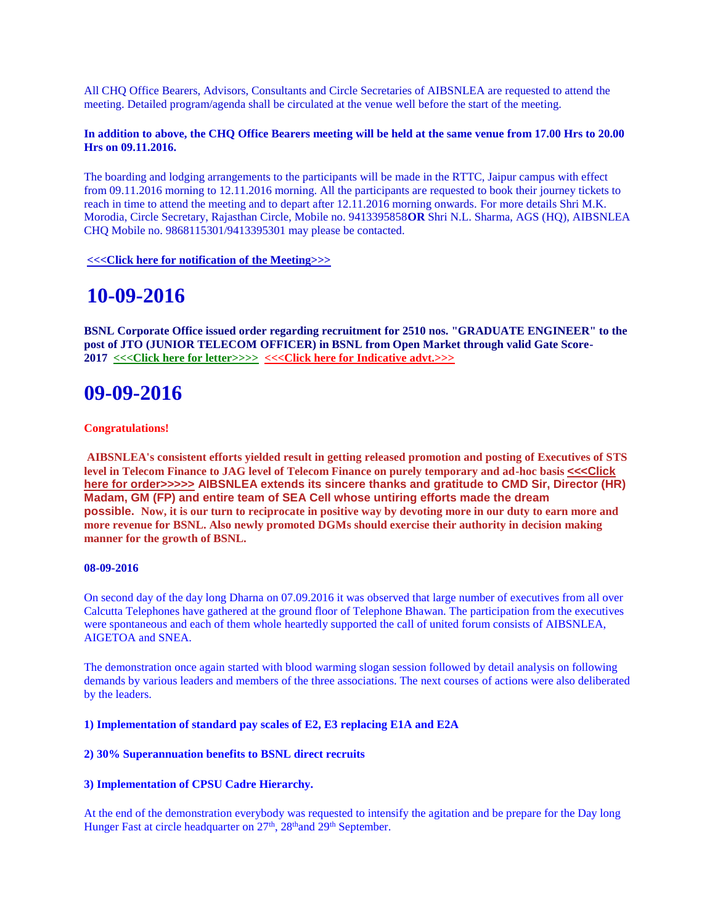All CHQ Office Bearers, Advisors, Consultants and Circle Secretaries of AIBSNLEA are requested to attend the meeting. Detailed program/agenda shall be circulated at the venue well before the start of the meeting.

#### **In addition to above, the CHQ Office Bearers meeting will be held at the same venue from 17.00 Hrs to 20.00 Hrs on 09.11.2016.**

The boarding and lodging arrangements to the participants will be made in the RTTC, Jaipur campus with effect from 09.11.2016 morning to 12.11.2016 morning. All the participants are requested to book their journey tickets to reach in time to attend the meeting and to depart after 12.11.2016 morning onwards. For more details Shri M.K. Morodia, Circle Secretary, Rajasthan Circle, Mobile no. 9413395858**OR** Shri N.L. Sharma, AGS (HQ), AIBSNLEA CHQ Mobile no. 9868115301/9413395301 may please be contacted.

**[<<<Click here for notification of the Meeting>>>](http://www.aibsnleachq.in/CHQ_Meet_JP_160912.pdf)**

## **10-09-2016**

**BSNL Corporate Office issued order regarding recruitment for 2510 nos. "GRADUATE ENGINEER" to the post of JTO (JUNIOR TELECOM OFFICER) in BSNL from Open Market through valid Gate Score-2017 [<<<Click here for letter>>>>](http://www.aibsnleachq.in/GATEIND%20ADVT%20CIRCLE.pdf) [<<<Click here for Indicative advt.>>>](http://www.aibsnleachq.in/INDCATIVE%20ADVT%20DRJTO%20GATE17%20_1_.pdf)**

## **09-09-2016**

#### **Congratulations!**

**AIBSNLEA's consistent efforts yielded result in getting released promotion and posting of Executives of STS level in Telecom Finance to JAG level of Telecom Finance on purely temporary and ad-hoc basis [<<<Click](http://www.aibsnleachq.in/JAG%20Promotion%20Order%2009092016.pdf)  [here for order>>>>>](http://www.aibsnleachq.in/JAG%20Promotion%20Order%2009092016.pdf) AIBSNLEA extends its sincere thanks and gratitude to CMD Sir, Director (HR) Madam, GM (FP) and entire team of SEA Cell whose untiring efforts made the dream possible. Now, it is our turn to reciprocate in positive way by devoting more in our duty to earn more and more revenue for BSNL. Also newly promoted DGMs should exercise their authority in decision making manner for the growth of BSNL.**

#### **08-09-2016**

On second day of the day long Dharna on 07.09.2016 it was observed that large number of executives from all over Calcutta Telephones have gathered at the ground floor of Telephone Bhawan. The participation from the executives were spontaneous and each of them whole heartedly supported the call of united forum consists of AIBSNLEA, AIGETOA and SNEA.

The demonstration once again started with blood warming slogan session followed by detail analysis on following demands by various leaders and members of the three associations. The next courses of actions were also deliberated by the leaders.

**1) Implementation of standard pay scales of E2, E3 replacing E1A and E2A**

#### **2) 30% Superannuation benefits to BSNL direct recruits**

#### **3) Implementation of CPSU Cadre Hierarchy.**

At the end of the demonstration everybody was requested to intensify the agitation and be prepare for the Day long Hunger Fast at circle headquarter on 27<sup>th</sup>, 28<sup>th</sup>and 29<sup>th</sup> September.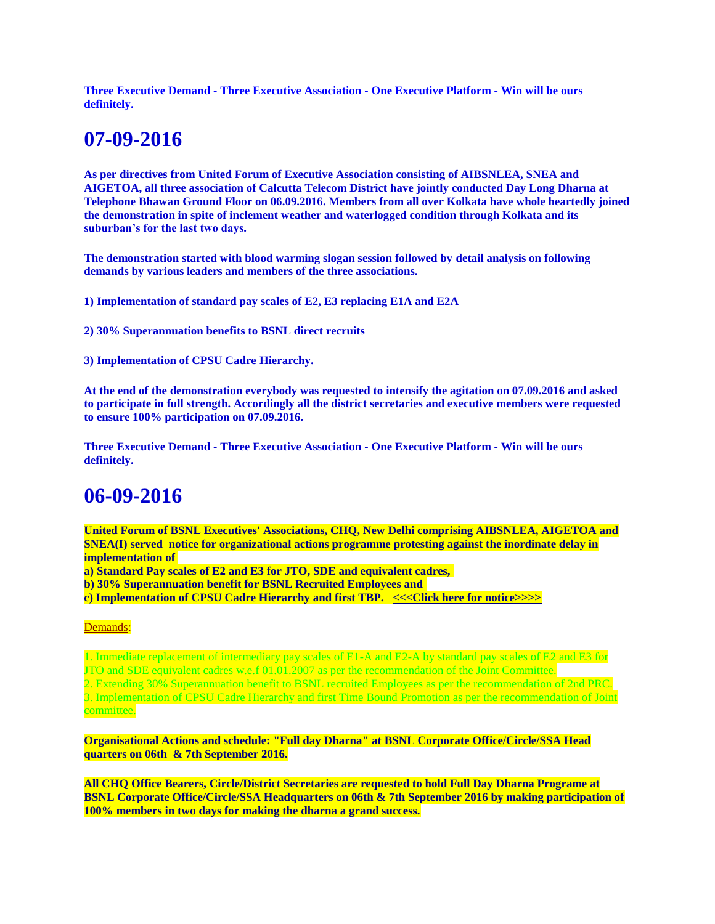**Three Executive Demand - Three Executive Association - One Executive Platform - Win will be ours definitely.**

# **07-09-2016**

**As per directives from United Forum of Executive Association consisting of AIBSNLEA, SNEA and AIGETOA, all three association of Calcutta Telecom District have jointly conducted Day Long Dharna at Telephone Bhawan Ground Floor on 06.09.2016. Members from all over Kolkata have whole heartedly joined the demonstration in spite of inclement weather and waterlogged condition through Kolkata and its suburban's for the last two days.**

**The demonstration started with blood warming slogan session followed by detail analysis on following demands by various leaders and members of the three associations.**

**1) Implementation of standard pay scales of E2, E3 replacing E1A and E2A**

**2) 30% Superannuation benefits to BSNL direct recruits**

**3) Implementation of CPSU Cadre Hierarchy.**

**At the end of the demonstration everybody was requested to intensify the agitation on 07.09.2016 and asked to participate in full strength. Accordingly all the district secretaries and executive members were requested to ensure 100% participation on 07.09.2016.**

**Three Executive Demand - Three Executive Association - One Executive Platform - Win will be ours definitely.**

# **06-09-2016**

**United Forum of BSNL Executives' Associations, CHQ, New Delhi comprising AIBSNLEA, AIGETOA and SNEA(I) served notice for organizational actions programme protesting against the inordinate delay in implementation of**

**a) Standard Pay scales of E2 and E3 for JTO, SDE and equivalent cadres,**

**b) 30% Superannuation benefit for BSNL Recruited Employees and**

**c) Implementation of CPSU Cadre Hierarchy and first TBP. [<<<Click here for notice>>>>](http://www.aibsnleachq.in/UFNotice170816.PDF)**

#### Demands:

1. Immediate replacement of intermediary pay scales of E1-A and E2-A by standard pay scales of E2 and E3 for JTO and SDE equivalent cadres w.e.f 01.01.2007 as per the recommendation of the Joint Committee. 2. Extending 30% Superannuation benefit to BSNL recruited Employees as per the recommendation of 2nd PRC. 3. Implementation of CPSU Cadre Hierarchy and first Time Bound Promotion as per the recommendation of Joint committee.

**Organisational Actions and schedule: "Full day Dharna" at BSNL Corporate Office/Circle/SSA Head quarters on 06th & 7th September 2016.**

**All CHQ Office Bearers, Circle/District Secretaries are requested to hold Full Day Dharna Programe at BSNL Corporate Office/Circle/SSA Headquarters on 06th & 7th September 2016 by making participation of 100% members in two days for making the dharna a grand success.**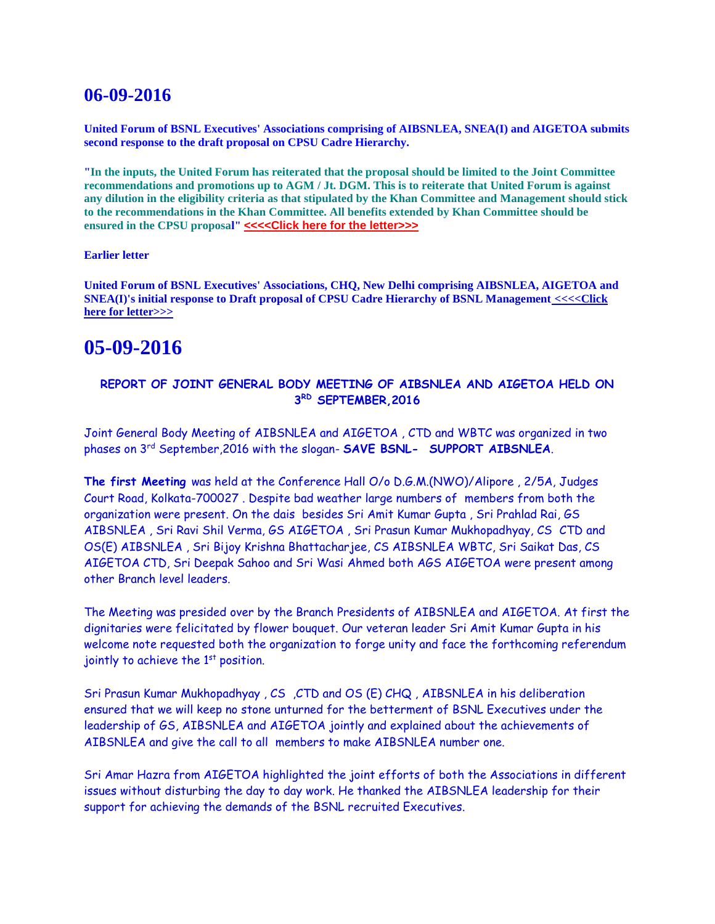## **06-09-2016**

**United Forum of BSNL Executives' Associations comprising of AIBSNLEA, SNEA(I) and AIGETOA submits second response to the draft proposal on CPSU Cadre Hierarchy.**

**"In the inputs, the United Forum has reiterated that the proposal should be limited to the Joint Committee recommendations and promotions up to AGM / Jt. DGM. This is to reiterate that United Forum is against any dilution in the eligibility criteria as that stipulated by the Khan Committee and Management should stick to the recommendations in the Khan Committee. All benefits extended by Khan Committee should be ensured in the CPSU proposal" [<<<<Click here for the letter>>>](http://www.aibsnleachq.in/JF_160905.pdf)** 

#### **Earlier letter**

**United Forum of BSNL Executives' Associations, CHQ, New Delhi comprising AIBSNLEA, AIGETOA and SNEA(I)'s initial response to Draft proposal of CPSU Cadre Hierarchy of BSNL Management [<<<<Click](http://www.aibsnleachq.in/respon_cpsu.pdf)  [here for letter>>>](http://www.aibsnleachq.in/respon_cpsu.pdf)**

## **05-09-2016**

## **REPORT OF JOINT GENERAL BODY MEETING OF AIBSNLEA AND AIGETOA HELD ON 3 RD SEPTEMBER,2016**

Joint General Body Meeting of AIBSNLEA and AIGETOA , CTD and WBTC was organized in two phases on 3rd September,2016 with the slogan- **SAVE BSNL- SUPPORT AIBSNLEA**.

**The first Meeting** was held at the Conference Hall O/o D.G.M.(NWO)/Alipore , 2/5A, Judges Court Road, Kolkata-700027 . Despite bad weather large numbers of members from both the organization were present. On the dais besides Sri Amit Kumar Gupta , Sri Prahlad Rai, GS AIBSNLEA , Sri Ravi Shil Verma, GS AIGETOA , Sri Prasun Kumar Mukhopadhyay, CS CTD and OS(E) AIBSNLEA , Sri Bijoy Krishna Bhattacharjee, CS AIBSNLEA WBTC, Sri Saikat Das, CS AIGETOA CTD, Sri Deepak Sahoo and Sri Wasi Ahmed both AGS AIGETOA were present among other Branch level leaders.

The Meeting was presided over by the Branch Presidents of AIBSNLEA and AIGETOA. At first the dignitaries were felicitated by flower bouquet. Our veteran leader Sri Amit Kumar Gupta in his welcome note requested both the organization to forge unity and face the forthcoming referendum jointly to achieve the  $1<sup>st</sup>$  position.

Sri Prasun Kumar Mukhopadhyay , CS ,CTD and OS (E) CHQ , AIBSNLEA in his deliberation ensured that we will keep no stone unturned for the betterment of BSNL Executives under the leadership of GS, AIBSNLEA and AIGETOA jointly and explained about the achievements of AIBSNLEA and give the call to all members to make AIBSNLEA number one.

Sri Amar Hazra from AIGETOA highlighted the joint efforts of both the Associations in different issues without disturbing the day to day work. He thanked the AIBSNLEA leadership for their support for achieving the demands of the BSNL recruited Executives.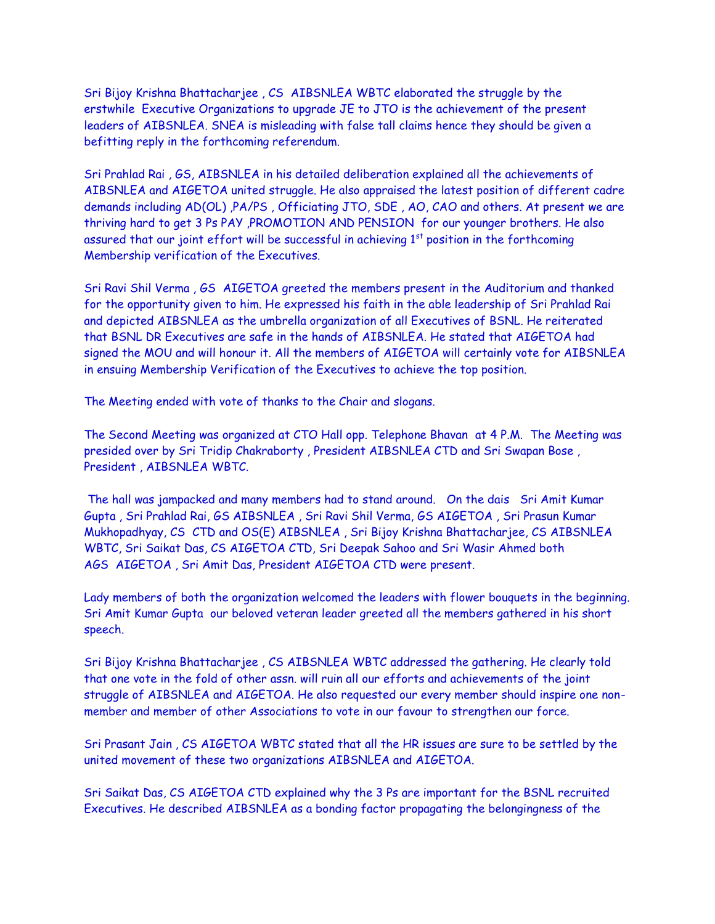Sri Bijoy Krishna Bhattacharjee , CS AIBSNLEA WBTC elaborated the struggle by the erstwhile Executive Organizations to upgrade JE to JTO is the achievement of the present leaders of AIBSNLEA. SNEA is misleading with false tall claims hence they should be given a befitting reply in the forthcoming referendum.

Sri Prahlad Rai , GS, AIBSNLEA in his detailed deliberation explained all the achievements of AIBSNLEA and AIGETOA united struggle. He also appraised the latest position of different cadre demands including AD(OL) ,PA/PS , Officiating JTO, SDE , AO, CAO and others. At present we are thriving hard to get 3 Ps PAY ,PROMOTION AND PENSION for our younger brothers. He also assured that our joint effort will be successful in achieving  $1<sup>st</sup>$  position in the forthcoming Membership verification of the Executives.

Sri Ravi Shil Verma , GS AIGETOA greeted the members present in the Auditorium and thanked for the opportunity given to him. He expressed his faith in the able leadership of Sri Prahlad Rai and depicted AIBSNLEA as the umbrella organization of all Executives of BSNL. He reiterated that BSNL DR Executives are safe in the hands of AIBSNLEA. He stated that AIGETOA had signed the MOU and will honour it. All the members of AIGETOA will certainly vote for AIBSNLEA in ensuing Membership Verification of the Executives to achieve the top position.

The Meeting ended with vote of thanks to the Chair and slogans.

The Second Meeting was organized at CTO Hall opp. Telephone Bhavan at 4 P.M. The Meeting was presided over by Sri Tridip Chakraborty , President AIBSNLEA CTD and Sri Swapan Bose , President , AIBSNLEA WBTC.

The hall was jampacked and many members had to stand around. On the dais Sri Amit Kumar Gupta , Sri Prahlad Rai, GS AIBSNLEA , Sri Ravi Shil Verma, GS AIGETOA , Sri Prasun Kumar Mukhopadhyay, CS CTD and OS(E) AIBSNLEA , Sri Bijoy Krishna Bhattacharjee, CS AIBSNLEA WBTC, Sri Saikat Das, CS AIGETOA CTD, Sri Deepak Sahoo and Sri Wasir Ahmed both AGS AIGETOA , Sri Amit Das, President AIGETOA CTD were present.

Lady members of both the organization welcomed the leaders with flower bouquets in the beginning. Sri Amit Kumar Gupta our beloved veteran leader greeted all the members gathered in his short speech.

Sri Bijoy Krishna Bhattacharjee , CS AIBSNLEA WBTC addressed the gathering. He clearly told that one vote in the fold of other assn. will ruin all our efforts and achievements of the joint struggle of AIBSNLEA and AIGETOA. He also requested our every member should inspire one nonmember and member of other Associations to vote in our favour to strengthen our force.

Sri Prasant Jain , CS AIGETOA WBTC stated that all the HR issues are sure to be settled by the united movement of these two organizations AIBSNLEA and AIGETOA.

Sri Saikat Das, CS AIGETOA CTD explained why the 3 Ps are important for the BSNL recruited Executives. He described AIBSNLEA as a bonding factor propagating the belongingness of the